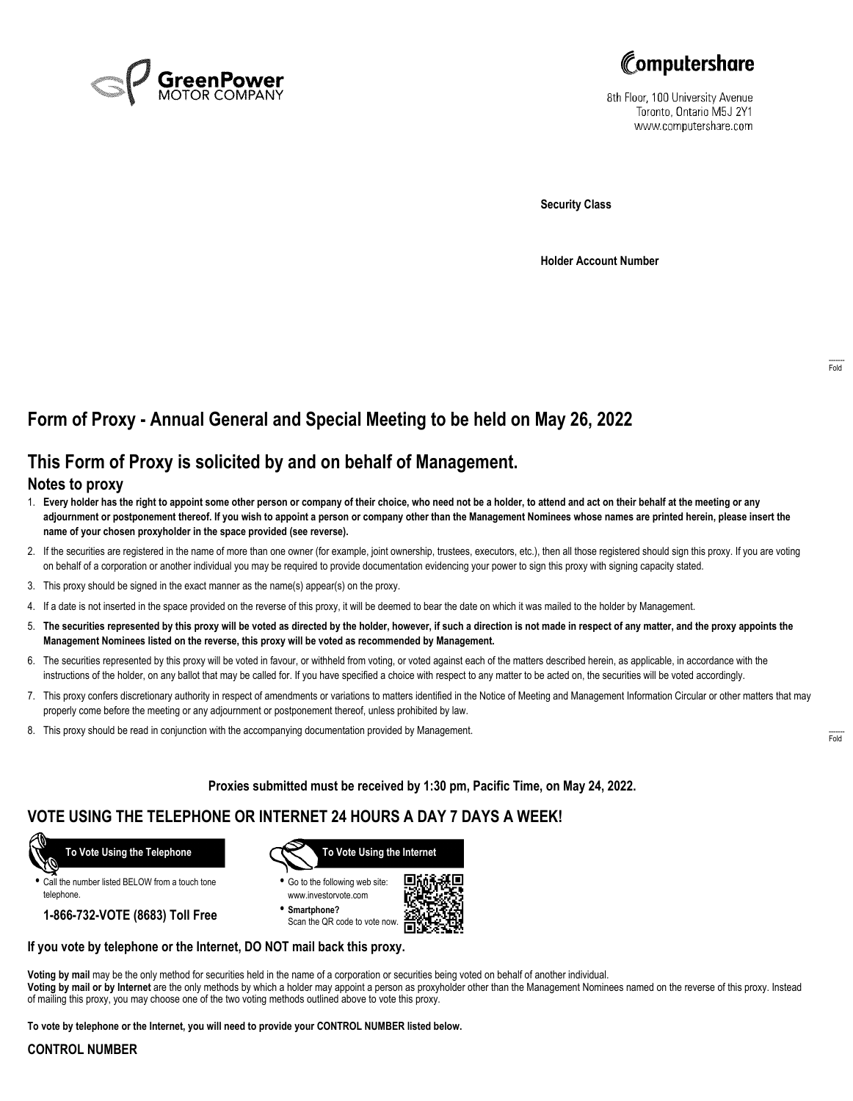



8th Floor, 100 University Avenue Toronto, Ontario M5J 2Y1 www.computershare.com

**Security Class**

**Holder Account Number**

# **Form of Proxy - Annual General and Special Meeting to be held on May 26, 2022**

## **This Form of Proxy is solicited by and on behalf of Management.**

### **Notes to proxy**

- 1. **Every holder has the right to appoint some other person or company of their choice, who need not be a holder, to attend and act on their behalf at the meeting or any adjournment or postponement thereof. If you wish to appoint a person or company other than the Management Nominees whose names are printed herein, please insert the name of your chosen proxyholder in the space provided (see reverse).**
- 2. If the securities are registered in the name of more than one owner (for example, joint ownership, trustees, executors, etc.), then all those registered should sign this proxy. If you are voting on behalf of a corporation or another individual you may be required to provide documentation evidencing your power to sign this proxy with signing capacity stated.
- 3. This proxy should be signed in the exact manner as the name(s) appear(s) on the proxy.
- 4. If a date is not inserted in the space provided on the reverse of this proxy, it will be deemed to bear the date on which it was mailed to the holder by Management.
- 5. **The securities represented by this proxy will be voted as directed by the holder, however, if such a direction is not made in respect of any matter, and the proxy appoints the Management Nominees listed on the reverse, this proxy will be voted as recommended by Management.**
- 6. The securities represented by this proxy will be voted in favour, or withheld from voting, or voted against each of the matters described herein, as applicable, in accordance with the instructions of the holder, on any ballot that may be called for. If you have specified a choice with respect to any matter to be acted on, the securities will be voted accordingly.
- 7. This proxy confers discretionary authority in respect of amendments or variations to matters identified in the Notice of Meeting and Management Information Circular or other matters that may properly come before the meeting or any adjournment or postponement thereof, unless prohibited by law.
- 8. This proxy should be read in conjunction with the accompanying documentation provided by Management.

**Proxies submitted must be received by 1:30 pm, Pacific Time, on May 24, 2022.**

## **VOTE USING THE TELEPHONE OR INTERNET 24 HOURS A DAY 7 DAYS A WEEK!**



**•** Call the number listed BELOW from a touch tone telephone.

**1-866-732-VOTE (8683) Toll Free**



**•** Go to the following web site: www.investorvote.com

**• Smartphone?** Scan the QR code to vote now.



#### **If you vote by telephone or the Internet, DO NOT mail back this proxy.**

**Voting by mail** may be the only method for securities held in the name of a corporation or securities being voted on behalf of another individual. **Voting by mail or by Internet** are the only methods by which a holder may appoint a person as proxyholder other than the Management Nominees named on the reverse of this proxy. Instead of mailing this proxy, you may choose one of the two voting methods outlined above to vote this proxy.

**To vote by telephone or the Internet, you will need to provide your CONTROL NUMBER listed below.**

#### **CONTROL NUMBER**